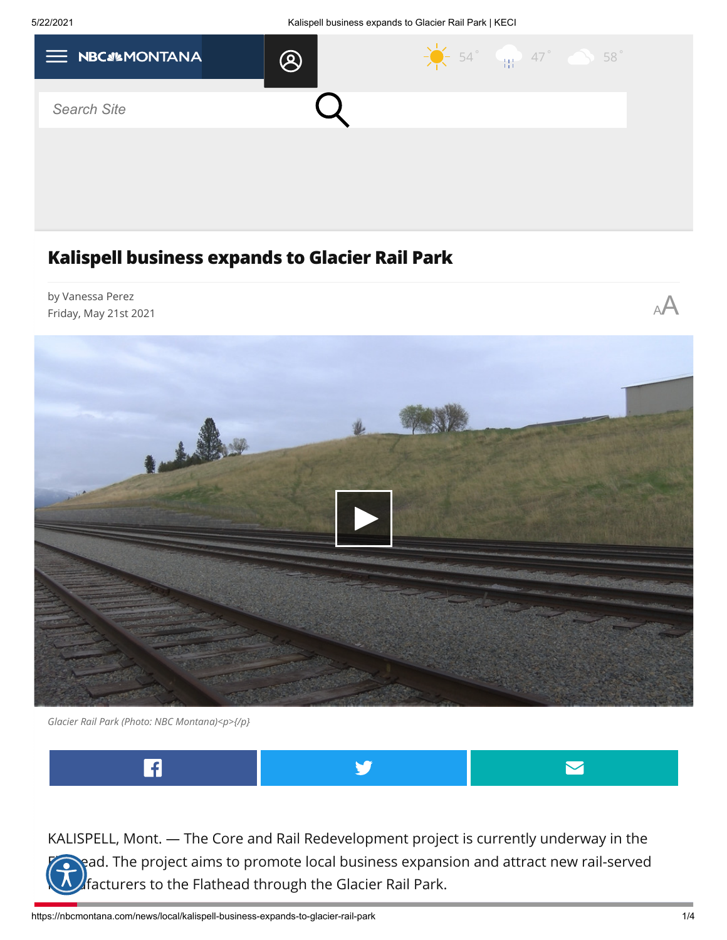

## **Kalispell business expands to Glacier Rail Park**



*Glacier Rail Park (Photo: NBC Montana)<p>{/p}*



KALISPELL, Mont. — The Core and Rail Redevelopment project is currently underway in the read. The project aims to promote local business expansion and attract new rail-served  $\mathcal{U}$ facturers to the Flathead through the Glacier Rail Park.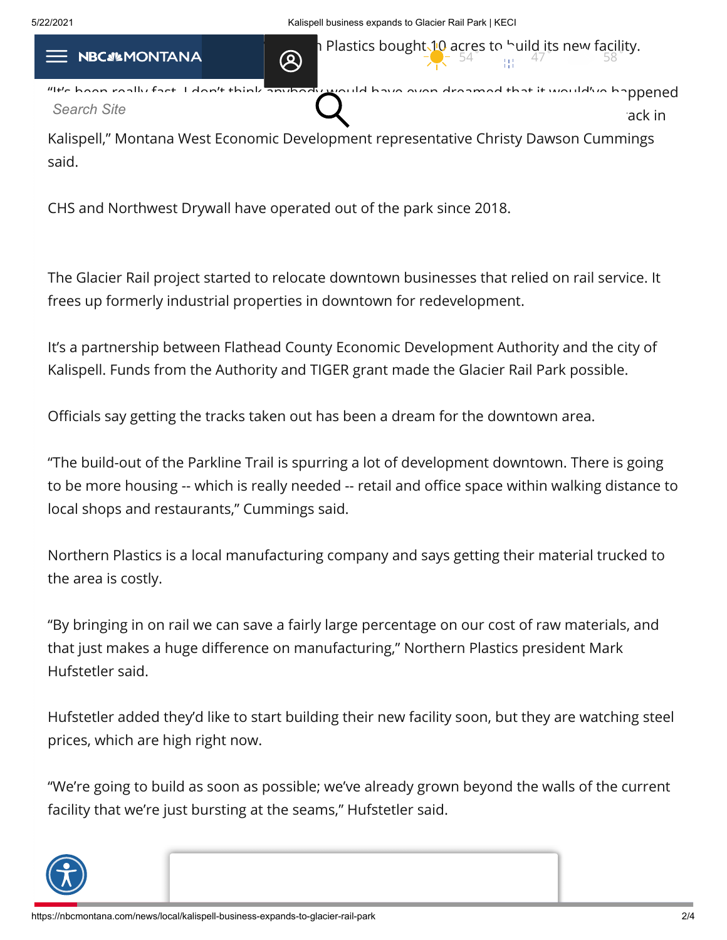$54$   $\frac{31.47}{11}$   $47$   $58$ 

 $\blacksquare$ 

"It's been really fast. I don't think anybody would have even dreamed that it would've happened  $t_{\text{total}}$  and  $t_{\text{total}}$  and  $t_{\text{total}}$  and  $t_{\text{total}}$  and  $t_{\text{total}}$  and  $t_{\text{total}}$  and  $t_{\text{total}}$  and  $t_{\text{total}}$  and  $t_{\text{total}}$  and  $t_{\text{total}}$  and  $t_{\text{total}}$  and  $t_{\text{total}}$  and  $t_{\text{total}}$  and  $t_{\text{total}}$  and  $t_{\text{total}}$  and  $t_{\text{total}}$  a *Search Site*

Kalispell," Montana West Economic Development representative Christy Dawson Cummings said.

CHS and Northwest Drywall have operated out of the park since 2018.

The Glacier Rail project started to relocate downtown businesses that relied on rail service. It frees up formerly industrial properties in downtown for redevelopment.

It's a partnership between Flathead County Economic Development Authority and the city of Kalispell. Funds from the Authority and TIGER grant made the Glacier Rail Park possible.

Officials say getting the tracks taken out has been a dream for the downtown area.

"The build-out of the Parkline Trail is spurring a lot of development downtown. There is going to be more housing -- which is really needed -- retail and office space within walking distance to local shops and restaurants," Cummings said.

Northern Plastics is a local manufacturing company and says getting their material trucked to the area is costly.

"By bringing in on rail we can save a fairly large percentage on our cost of raw materials, and that just makes a huge difference on manufacturing," Northern Plastics president Mark Hufstetler said.

Hufstetler added they'd like to start building their new facility soon, but they are watching steel prices, which are high right now.

"We're going to build as soon as possible; we've already grown beyond the walls of the current facility that we're just bursting at the seams," Hufstetler said.